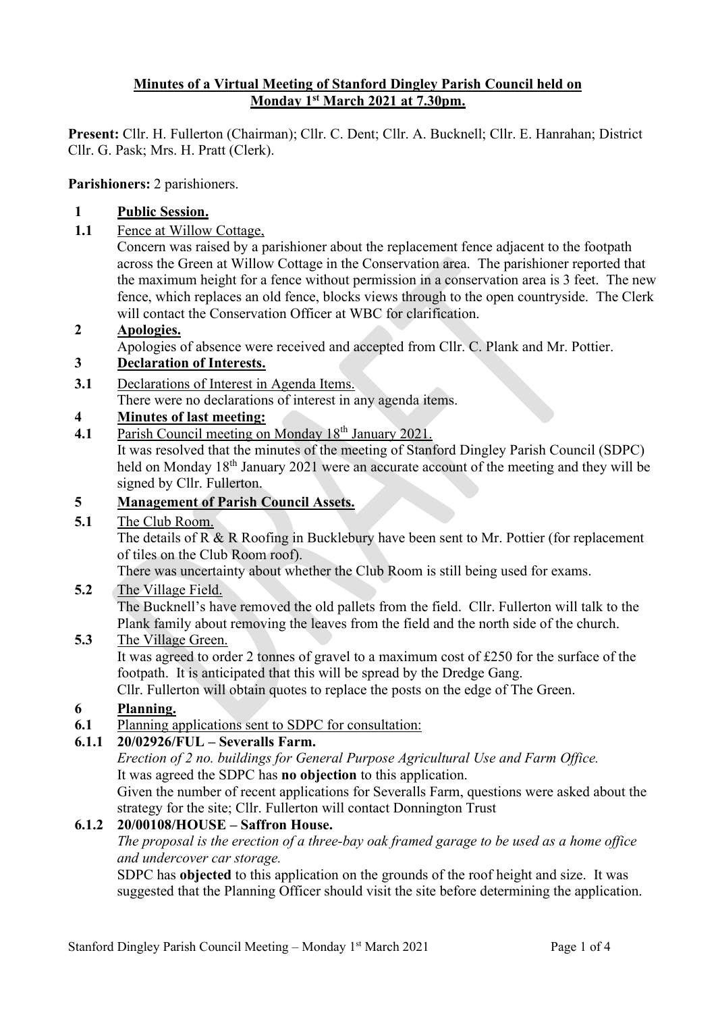## **Minutes of a Virtual Meeting of Stanford Dingley Parish Council held on Monday 1st March 2021 at 7.30pm.**

**Present:** Cllr. H. Fullerton (Chairman); Cllr. C. Dent; Cllr. A. Bucknell; Cllr. E. Hanrahan; District Cllr. G. Pask; Mrs. H. Pratt (Clerk).

**Parishioners:** 2 parishioners.

## **1 Public Session.**

**1.1** Fence at Willow Cottage,

Concern was raised by a parishioner about the replacement fence adjacent to the footpath across the Green at Willow Cottage in the Conservation area. The parishioner reported that the maximum height for a fence without permission in a conservation area is 3 feet. The new fence, which replaces an old fence, blocks views through to the open countryside. The Clerk will contact the Conservation Officer at WBC for clarification.

#### **2 Apologies.**

Apologies of absence were received and accepted from Cllr. C. Plank and Mr. Pottier.

# **3 Declaration of Interests.**

**3.1** Declarations of Interest in Agenda Items.

There were no declarations of interest in any agenda items.

# **4 Minutes of last meeting:**

**4.1** Parish Council meeting on Monday 18th January 2021.

It was resolved that the minutes of the meeting of Stanford Dingley Parish Council (SDPC) held on Monday 18<sup>th</sup> January 2021 were an accurate account of the meeting and they will be signed by Cllr. Fullerton.

#### **5 Management of Parish Council Assets.**

**5.1** The Club Room.

The details of R & R Roofing in Bucklebury have been sent to Mr. Pottier (for replacement of tiles on the Club Room roof).

There was uncertainty about whether the Club Room is still being used for exams.

**5.2** The Village Field.

The Bucknell's have removed the old pallets from the field. Cllr. Fullerton will talk to the Plank family about removing the leaves from the field and the north side of the church.

# **5.3** The Village Green.

It was agreed to order 2 tonnes of gravel to a maximum cost of £250 for the surface of the footpath. It is anticipated that this will be spread by the Dredge Gang.

Cllr. Fullerton will obtain quotes to replace the posts on the edge of The Green.

## **6 Planning.**

**6.1** Planning applications sent to SDPC for consultation:

# **6.1.1 20/02926/FUL – Severalls Farm.**

*Erection of 2 no. buildings for General Purpose Agricultural Use and Farm Office.* It was agreed the SDPC has **no objection** to this application.

Given the number of recent applications for Severalls Farm, questions were asked about the strategy for the site; Cllr. Fullerton will contact Donnington Trust

## **6.1.2 20/00108/HOUSE – Saffron House.**

*The proposal is the erection of a three-bay oak framed garage to be used as a home office and undercover car storage.*

SDPC has **objected** to this application on the grounds of the roof height and size. It was suggested that the Planning Officer should visit the site before determining the application.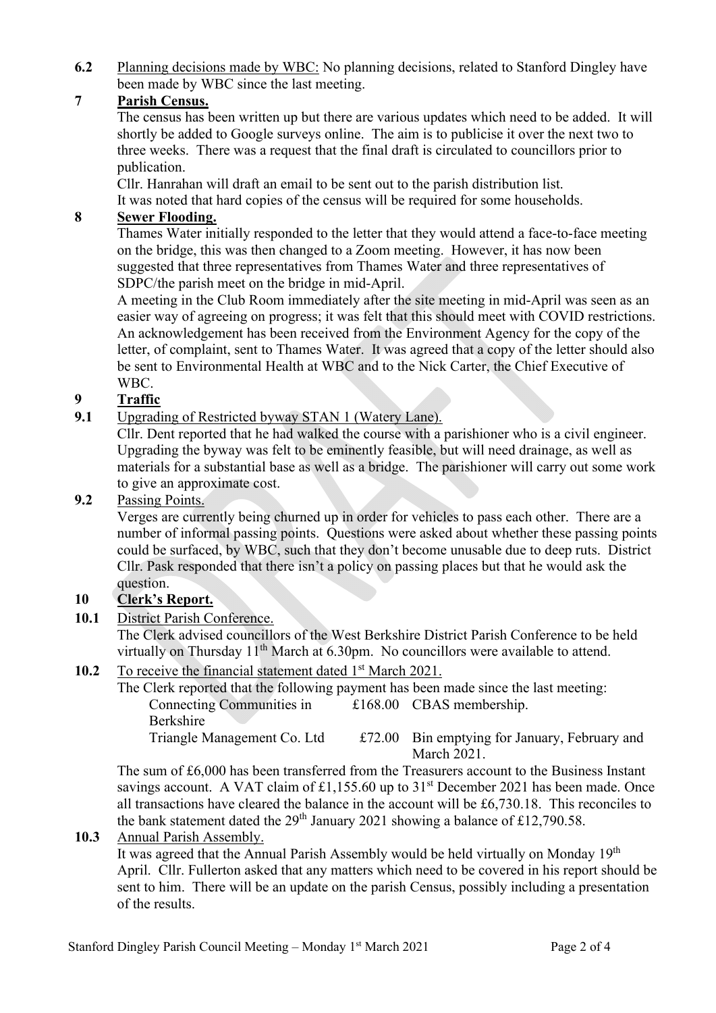**6.2** Planning decisions made by WBC: No planning decisions, related to Stanford Dingley have been made by WBC since the last meeting.

# **7 Parish Census.**

The census has been written up but there are various updates which need to be added. It will shortly be added to Google surveys online. The aim is to publicise it over the next two to three weeks. There was a request that the final draft is circulated to councillors prior to publication.

Cllr. Hanrahan will draft an email to be sent out to the parish distribution list. It was noted that hard copies of the census will be required for some households.

# **8 Sewer Flooding.**

Thames Water initially responded to the letter that they would attend a face-to-face meeting on the bridge, this was then changed to a Zoom meeting. However, it has now been suggested that three representatives from Thames Water and three representatives of SDPC/the parish meet on the bridge in mid-April.

A meeting in the Club Room immediately after the site meeting in mid-April was seen as an easier way of agreeing on progress; it was felt that this should meet with COVID restrictions. An acknowledgement has been received from the Environment Agency for the copy of the letter, of complaint, sent to Thames Water. It was agreed that a copy of the letter should also be sent to Environmental Health at WBC and to the Nick Carter, the Chief Executive of WBC.

# **9 Traffic**

**9.1** Upgrading of Restricted byway STAN 1 (Watery Lane).

Cllr. Dent reported that he had walked the course with a parishioner who is a civil engineer. Upgrading the byway was felt to be eminently feasible, but will need drainage, as well as materials for a substantial base as well as a bridge. The parishioner will carry out some work to give an approximate cost.

#### **9.2** Passing Points.

Verges are currently being churned up in order for vehicles to pass each other. There are a number of informal passing points. Questions were asked about whether these passing points could be surfaced, by WBC, such that they don't become unusable due to deep ruts. District Cllr. Pask responded that there isn't a policy on passing places but that he would ask the question.

# **10 Clerk's Report.**

**10.1** District Parish Conference.

The Clerk advised councillors of the West Berkshire District Parish Conference to be held virtually on Thursday  $11<sup>th</sup>$  March at 6.30pm. No councillors were available to attend.

## **10.2** To receive the financial statement dated 1<sup>st</sup> March 2021.

| The Clerk reported that the following payment has been made since the last meeting: |  |                                               |
|-------------------------------------------------------------------------------------|--|-----------------------------------------------|
| Connecting Communities in                                                           |  | $£168.00$ CBAS membership.                    |
| <b>Berkshire</b>                                                                    |  |                                               |
| Triangle Management Co. Ltd                                                         |  | £72.00 Bin emptying for January, February and |
|                                                                                     |  | March 2021.                                   |

The sum of £6,000 has been transferred from the Treasurers account to the Business Instant savings account. A VAT claim of £1,155.60 up to  $31<sup>st</sup>$  December 2021 has been made. Once all transactions have cleared the balance in the account will be £6,730.18. This reconciles to the bank statement dated the  $29<sup>th</sup>$  January 2021 showing a balance of £12,790.58.

**10.3** Annual Parish Assembly.

It was agreed that the Annual Parish Assembly would be held virtually on Monday 19<sup>th</sup> April. Cllr. Fullerton asked that any matters which need to be covered in his report should be sent to him. There will be an update on the parish Census, possibly including a presentation of the results.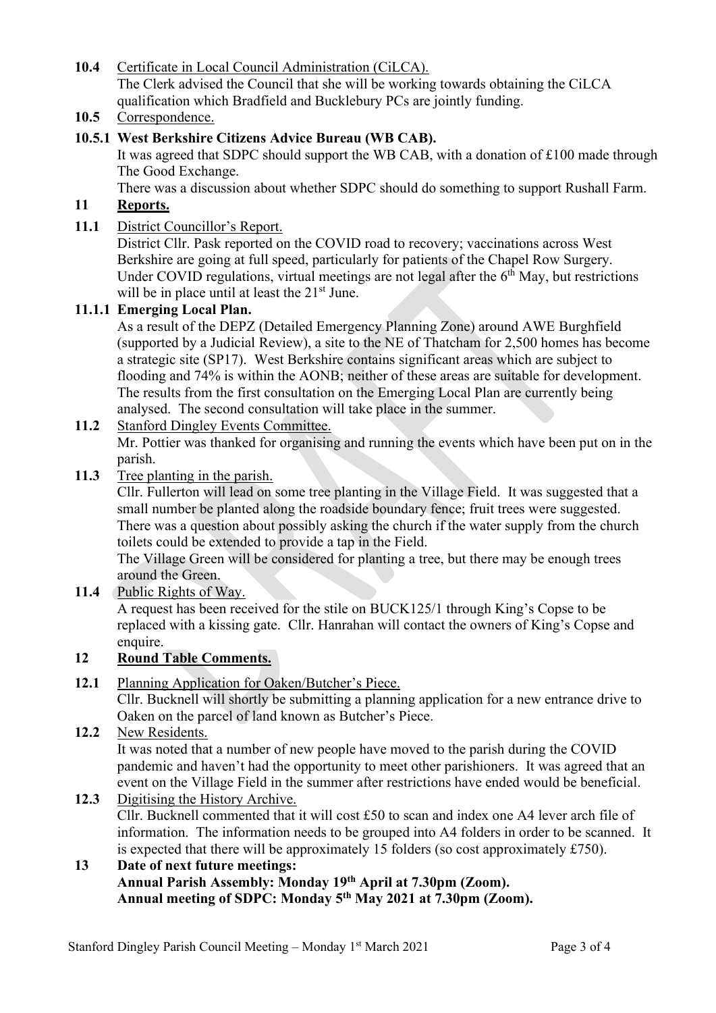**10.4** Certificate in Local Council Administration (CiLCA). The Clerk advised the Council that she will be working towards obtaining the CiLCA qualification which Bradfield and Bucklebury PCs are jointly funding.

**10.5** Correspondence.

# **10.5.1 West Berkshire Citizens Advice Bureau (WB CAB).**

It was agreed that SDPC should support the WB CAB, with a donation of £100 made through The Good Exchange.

There was a discussion about whether SDPC should do something to support Rushall Farm.

# **11 Reports.**

## **11.1** District Councillor's Report.

District Cllr. Pask reported on the COVID road to recovery; vaccinations across West Berkshire are going at full speed, particularly for patients of the Chapel Row Surgery. Under COVID regulations, virtual meetings are not legal after the  $6<sup>th</sup>$  May, but restrictions will be in place until at least the  $21<sup>st</sup>$  June.

#### **11.1.1 Emerging Local Plan.**

As a result of the DEPZ (Detailed Emergency Planning Zone) around AWE Burghfield (supported by a Judicial Review), a site to the NE of Thatcham for 2,500 homes has become a strategic site (SP17). West Berkshire contains significant areas which are subject to flooding and 74% is within the AONB; neither of these areas are suitable for development. The results from the first consultation on the Emerging Local Plan are currently being analysed. The second consultation will take place in the summer.

## **11.2** Stanford Dingley Events Committee.

Mr. Pottier was thanked for organising and running the events which have been put on in the parish.

**11.3** Tree planting in the parish.

Cllr. Fullerton will lead on some tree planting in the Village Field. It was suggested that a small number be planted along the roadside boundary fence; fruit trees were suggested. There was a question about possibly asking the church if the water supply from the church toilets could be extended to provide a tap in the Field.

The Village Green will be considered for planting a tree, but there may be enough trees around the Green.

**11.4** Public Rights of Way.

A request has been received for the stile on BUCK125/1 through King's Copse to be replaced with a kissing gate. Cllr. Hanrahan will contact the owners of King's Copse and enquire.

# **12 Round Table Comments.**

**12.1** Planning Application for Oaken/Butcher's Piece.

Cllr. Bucknell will shortly be submitting a planning application for a new entrance drive to Oaken on the parcel of land known as Butcher's Piece.

**12.2** New Residents. It was noted that a number of new people have moved to the parish during the COVID pandemic and haven't had the opportunity to meet other parishioners. It was agreed that an event on the Village Field in the summer after restrictions have ended would be beneficial.

**12.3** Digitising the History Archive. Cllr. Bucknell commented that it will cost £50 to scan and index one A4 lever arch file of information. The information needs to be grouped into A4 folders in order to be scanned. It is expected that there will be approximately 15 folders (so cost approximately £750).

# **13 Date of next future meetings: Annual Parish Assembly: Monday 19th April at 7.30pm (Zoom). Annual meeting of SDPC: Monday 5th May 2021 at 7.30pm (Zoom).**